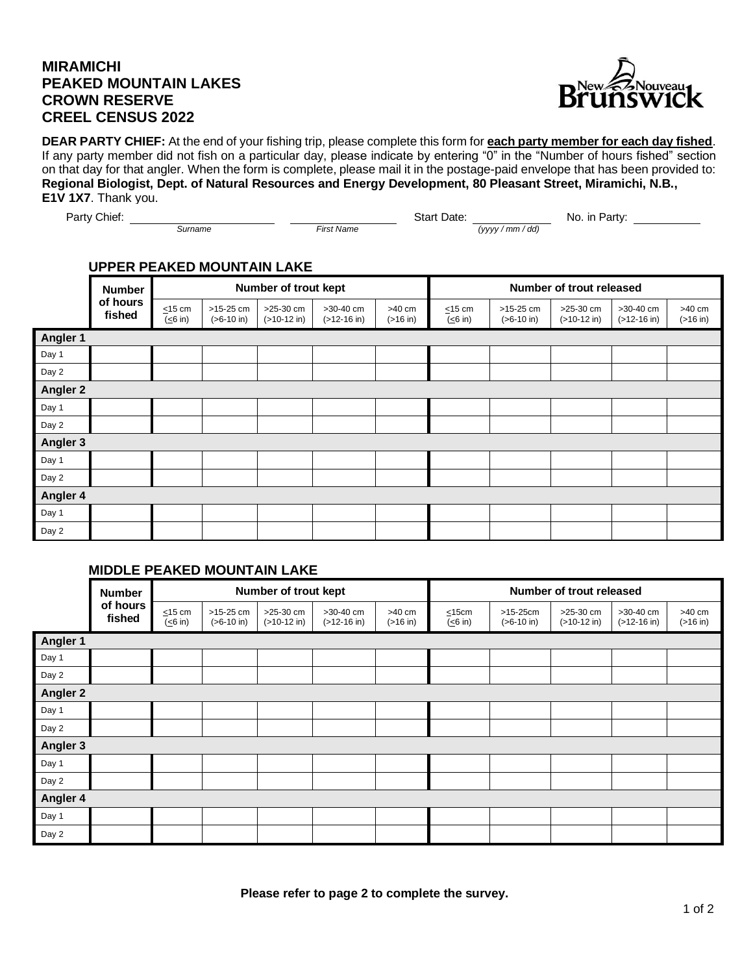## **MIRAMICHI PEAKED MOUNTAIN LAKES CROWN RESERVE CREEL CENSUS 2022**



**DEAR PARTY CHIEF:** At the end of your fishing trip, please complete this form for **each party member for each day fished**. If any party member did not fish on a particular day, please indicate by entering "0" in the "Number of hours fished" section on that day for that angler. When the form is complete, please mail it in the postage-paid envelope that has been provided to: **Regional Biologist, Dept. of Natural Resources and Energy Development, 80 Pleasant Street, Miramichi, N.B., E1V 1X7**. Thank you.

Party Chief: No. in Party: No. in Party:

*Surname* First Name **First Name** *Construction (yyyy / mm / dd)* 

## **UPPER PEAKED MOUNTAIN LAKE**

|          | <b>Number</b><br>of hours<br>fished | Number of trout kept    |                             |                              |                                        |                                  | Number of trout released |                             |                            |                                        |                                  |
|----------|-------------------------------------|-------------------------|-----------------------------|------------------------------|----------------------------------------|----------------------------------|--------------------------|-----------------------------|----------------------------|----------------------------------------|----------------------------------|
|          |                                     | $\leq$ 15 cm<br>(<6 in) | $>15-25$ cm<br>$(>6-10$ in) | $>25-30$ cm<br>$(>10-12$ in) | >30-40 cm<br>$( > 12 - 16 \text{ in})$ | $>40$ cm<br>$( > 16 \text{ in})$ | $\leq$ 15 cm<br>(≤6 in)  | $>15-25$ cm<br>$(>6-10$ in) | >25-30 cm<br>$(>10-12$ in) | >30-40 cm<br>$( > 12 - 16 \text{ in})$ | $>40$ cm<br>$( > 16 \text{ in})$ |
| Angler 1 |                                     |                         |                             |                              |                                        |                                  |                          |                             |                            |                                        |                                  |
| Day 1    |                                     |                         |                             |                              |                                        |                                  |                          |                             |                            |                                        |                                  |
| Day 2    |                                     |                         |                             |                              |                                        |                                  |                          |                             |                            |                                        |                                  |
| Angler 2 |                                     |                         |                             |                              |                                        |                                  |                          |                             |                            |                                        |                                  |
| Day 1    |                                     |                         |                             |                              |                                        |                                  |                          |                             |                            |                                        |                                  |
| Day 2    |                                     |                         |                             |                              |                                        |                                  |                          |                             |                            |                                        |                                  |
| Angler 3 |                                     |                         |                             |                              |                                        |                                  |                          |                             |                            |                                        |                                  |
| Day 1    |                                     |                         |                             |                              |                                        |                                  |                          |                             |                            |                                        |                                  |
| Day 2    |                                     |                         |                             |                              |                                        |                                  |                          |                             |                            |                                        |                                  |
| Angler 4 |                                     |                         |                             |                              |                                        |                                  |                          |                             |                            |                                        |                                  |
| Day 1    |                                     |                         |                             |                              |                                        |                                  |                          |                             |                            |                                        |                                  |
| Day 2    |                                     |                         |                             |                              |                                        |                                  |                          |                             |                            |                                        |                                  |

## **MIDDLE PEAKED MOUNTAIN LAKE**

|                 | <b>Number</b><br>of hours<br>fished | Number of trout kept                      |                                     |                            |                                        |                                  | Number of trout released |                            |                            |                                          |                                |
|-----------------|-------------------------------------|-------------------------------------------|-------------------------------------|----------------------------|----------------------------------------|----------------------------------|--------------------------|----------------------------|----------------------------|------------------------------------------|--------------------------------|
|                 |                                     | $\leq$ 15 cm<br>$\overline{(\leq 6)}$ in) | $>15-25$ cm<br>$(>6-10 \text{ in})$ | >25-30 cm<br>$(>10-12$ in) | >30-40 cm<br>$( > 12 - 16 \text{ in})$ | $>40$ cm<br>$( > 16 \text{ in})$ | $\leq$ 15cm<br>(<6 in)   | $>15-25cm$<br>$(>6-10$ in) | >25-30 cm<br>$(>10-12$ in) | $>30-40$ cm<br>$( > 12 - 16 \text{ in})$ | >40 cm<br>$( > 16 \text{ in})$ |
| Angler 1        |                                     |                                           |                                     |                            |                                        |                                  |                          |                            |                            |                                          |                                |
| Day 1           |                                     |                                           |                                     |                            |                                        |                                  |                          |                            |                            |                                          |                                |
| Day 2           |                                     |                                           |                                     |                            |                                        |                                  |                          |                            |                            |                                          |                                |
| <b>Angler 2</b> |                                     |                                           |                                     |                            |                                        |                                  |                          |                            |                            |                                          |                                |
| Day 1           |                                     |                                           |                                     |                            |                                        |                                  |                          |                            |                            |                                          |                                |
| Day 2           |                                     |                                           |                                     |                            |                                        |                                  |                          |                            |                            |                                          |                                |
| <b>Angler 3</b> |                                     |                                           |                                     |                            |                                        |                                  |                          |                            |                            |                                          |                                |
| Day 1           |                                     |                                           |                                     |                            |                                        |                                  |                          |                            |                            |                                          |                                |
| Day 2           |                                     |                                           |                                     |                            |                                        |                                  |                          |                            |                            |                                          |                                |
| Angler 4        |                                     |                                           |                                     |                            |                                        |                                  |                          |                            |                            |                                          |                                |
| Day 1           |                                     |                                           |                                     |                            |                                        |                                  |                          |                            |                            |                                          |                                |
| Day 2           |                                     |                                           |                                     |                            |                                        |                                  |                          |                            |                            |                                          |                                |

**Please refer to page 2 to complete the survey.**